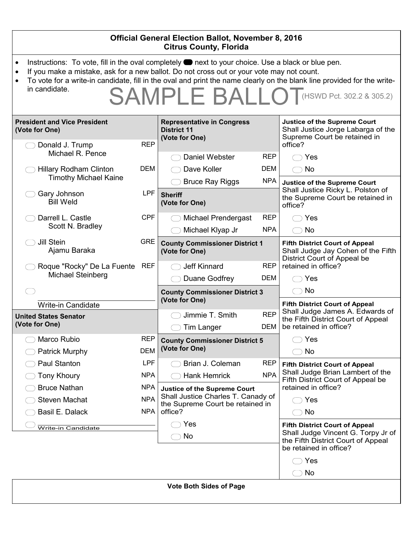| <b>Official General Election Ballot, November 8, 2016</b><br><b>Citrus County, Florida</b>                                                                                                                                                                                                                                                                                                                                                     |                                 |                                                                                                                          |                                 |                                                                                                                                             |  |  |  |
|------------------------------------------------------------------------------------------------------------------------------------------------------------------------------------------------------------------------------------------------------------------------------------------------------------------------------------------------------------------------------------------------------------------------------------------------|---------------------------------|--------------------------------------------------------------------------------------------------------------------------|---------------------------------|---------------------------------------------------------------------------------------------------------------------------------------------|--|--|--|
| Instructions: To vote, fill in the oval completely <b>or</b> next to your choice. Use a black or blue pen.<br>$\bullet$<br>If you make a mistake, ask for a new ballot. Do not cross out or your vote may not count.<br>$\bullet$<br>To vote for a write-in candidate, fill in the oval and print the name clearly on the blank line provided for the write-<br>$\bullet$<br>in candidate.<br><b>SAMPLE BALLO</b><br>(HSWD Pct. 302.2 & 305.2) |                                 |                                                                                                                          |                                 |                                                                                                                                             |  |  |  |
| <b>President and Vice President</b><br>(Vote for One)                                                                                                                                                                                                                                                                                                                                                                                          |                                 | <b>Representative in Congress</b><br><b>District 11</b><br>(Vote for One)                                                |                                 | <b>Justice of the Supreme Court</b><br>Shall Justice Jorge Labarga of the<br>Supreme Court be retained in                                   |  |  |  |
| Donald J. Trump<br>Michael R. Pence<br><b>Hillary Rodham Clinton</b><br><b>Timothy Michael Kaine</b>                                                                                                                                                                                                                                                                                                                                           | <b>REP</b><br>DEM               | Daniel Webster<br>Dave Koller                                                                                            | <b>REP</b><br>DEM<br><b>NPA</b> | office?<br>Yes<br><b>No</b>                                                                                                                 |  |  |  |
| Gary Johnson<br><b>Bill Weld</b>                                                                                                                                                                                                                                                                                                                                                                                                               | <b>LPF</b>                      | <b>Bruce Ray Riggs</b><br><b>Sheriff</b><br>(Vote for One)                                                               |                                 | <b>Justice of the Supreme Court</b><br>Shall Justice Ricky L. Polston of<br>the Supreme Court be retained in<br>office?                     |  |  |  |
| Darrell L. Castle<br>Scott N. Bradley                                                                                                                                                                                                                                                                                                                                                                                                          | <b>CPF</b>                      | <b>Michael Prendergast</b><br>Michael Klyap Jr                                                                           | <b>REP</b><br><b>NPA</b>        | Yes<br><b>No</b><br>$\left(\begin{array}{c} \end{array}\right)$                                                                             |  |  |  |
| Jill Stein<br>Ajamu Baraka                                                                                                                                                                                                                                                                                                                                                                                                                     | <b>GRE</b>                      | <b>County Commissioner District 1</b><br>(Vote for One)                                                                  |                                 | <b>Fifth District Court of Appeal</b><br>Shall Judge Jay Cohen of the Fifth<br>District Court of Appeal be                                  |  |  |  |
| Roque "Rocky" De La Fuente REF<br>Michael Steinberg                                                                                                                                                                                                                                                                                                                                                                                            |                                 | Jeff Kinnard<br>Duane Godfrey                                                                                            | <b>REP</b><br><b>DEM</b>        | retained in office?<br>Yes                                                                                                                  |  |  |  |
| <b>Write-in Candidate</b>                                                                                                                                                                                                                                                                                                                                                                                                                      |                                 | <b>County Commissioner District 3</b><br>(Vote for One)                                                                  |                                 | <b>No</b><br><b>Fifth District Court of Appeal</b>                                                                                          |  |  |  |
| <b>United States Senator</b><br>(Vote for One)                                                                                                                                                                                                                                                                                                                                                                                                 |                                 | Jimmie T. Smith<br><b>Tim Langer</b>                                                                                     | <b>REP</b><br>DEM               | Shall Judge James A. Edwards of<br>the Fifth District Court of Appeal<br>be retained in office?                                             |  |  |  |
| Marco Rubio<br><b>Patrick Murphy</b>                                                                                                                                                                                                                                                                                                                                                                                                           | REP<br><b>DEM</b>               | <b>County Commissioner District 5</b><br>(Vote for One)                                                                  |                                 | Yes<br>No                                                                                                                                   |  |  |  |
| Paul Stanton<br><b>Tony Khoury</b>                                                                                                                                                                                                                                                                                                                                                                                                             | <b>LPF</b><br><b>NPA</b>        | Brian J. Coleman<br><b>Hank Hemrick</b>                                                                                  | <b>REP</b><br><b>NPA</b>        | <b>Fifth District Court of Appeal</b><br>Shall Judge Brian Lambert of the<br>Fifth District Court of Appeal be                              |  |  |  |
| <b>Bruce Nathan</b><br><b>Steven Machat</b><br>Basil E. Dalack                                                                                                                                                                                                                                                                                                                                                                                 | <b>NPA</b><br><b>NPA</b><br>NPA | <b>Justice of the Supreme Court</b><br>Shall Justice Charles T. Canady of<br>the Supreme Court be retained in<br>office? |                                 | retained in office?<br>Yes<br>No                                                                                                            |  |  |  |
| Write-in Candidate                                                                                                                                                                                                                                                                                                                                                                                                                             |                                 | Yes<br>No                                                                                                                |                                 | <b>Fifth District Court of Appeal</b><br>Shall Judge Vincent G. Torpy Jr of<br>the Fifth District Court of Appeal<br>be retained in office? |  |  |  |
|                                                                                                                                                                                                                                                                                                                                                                                                                                                |                                 | Vate Dath Ciden of Dogs                                                                                                  |                                 | Yes<br>No                                                                                                                                   |  |  |  |

|  |  |  | <b>Vote Both Sides of Page</b> |  |  |
|--|--|--|--------------------------------|--|--|
|--|--|--|--------------------------------|--|--|